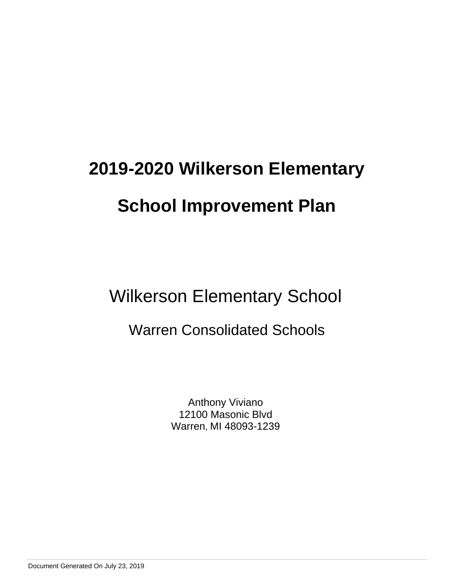Wilkerson Elementary School

# Warren Consolidated Schools

Anthony Viviano 12100 Masonic Blvd Warren, MI 48093-1239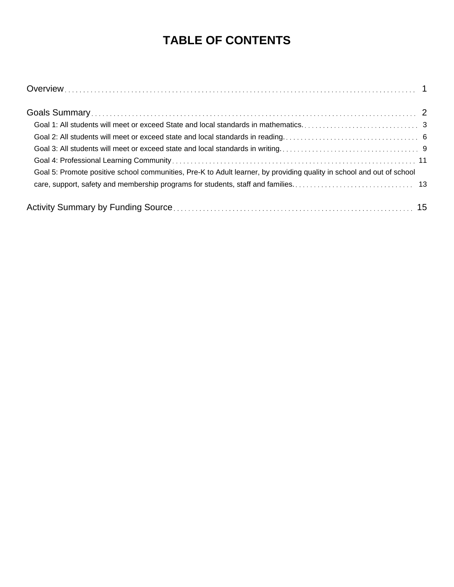# **TABLE OF CONTENTS**

| Goal 5: Promote positive school communities, Pre-K to Adult learner, by providing quality in school and out of school |  |
|-----------------------------------------------------------------------------------------------------------------------|--|
|                                                                                                                       |  |
|                                                                                                                       |  |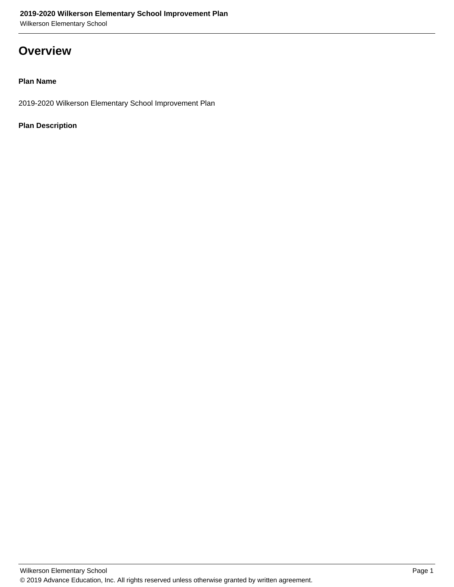Wilkerson Elementary School

# **Overview**

#### **Plan Name**

2019-2020 Wilkerson Elementary School Improvement Plan

#### **Plan Description**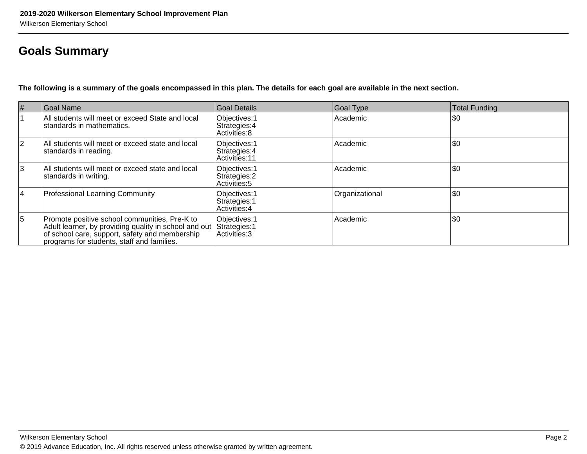# **Goals Summary**

**The following is a summary of the goals encompassed in this plan. The details for each goal are available in the next section.**

| $\#$           | Goal Name                                                                                                                                                                                              | Goal Details                                     | Goal Type      | Total Funding |
|----------------|--------------------------------------------------------------------------------------------------------------------------------------------------------------------------------------------------------|--------------------------------------------------|----------------|---------------|
|                | All students will meet or exceed State and local<br>Istandards in mathematics.                                                                                                                         | Objectives: 1<br>Strategies: 4<br>Activities: 8  | Academic       | \$0           |
| $ 2\rangle$    | All students will meet or exceed state and local<br>standards in reading.                                                                                                                              | Objectives: 1<br>Strategies: 4<br>Activities: 11 | Academic       | \$0           |
| Ι3             | All students will meet or exceed state and local<br>standards in writing.                                                                                                                              | Objectives: 1<br>Strategies: 2<br> Activities: 5 | Academic       | \$0           |
| 14             | <b>Professional Learning Community</b>                                                                                                                                                                 | Objectives: 1<br>Strategies: 1<br> Activities: 4 | Organizational | \$0           |
| $\overline{5}$ | Promote positive school communities, Pre-K to<br>Adult learner, by providing quality in school and out<br>of school care, support, safety and membership<br>programs for students, staff and families. | Objectives: 1<br>Strategies: 1<br>Activities: 3  | Academic       | \$0           |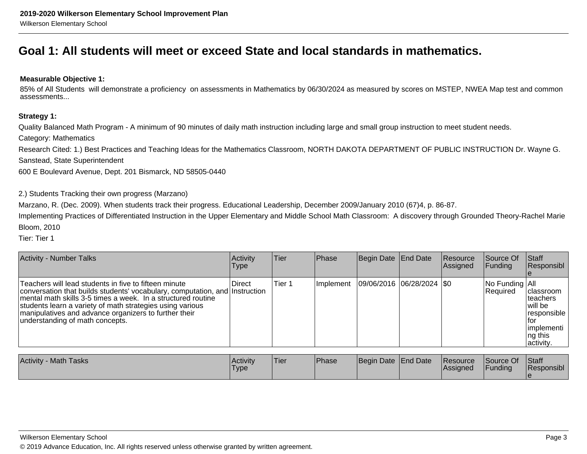# **Goal 1: All students will meet or exceed State and local standards in mathematics.**

#### **Measurable Objective 1:**

85% of All Students will demonstrate a proficiency on assessments in Mathematics by 06/30/2024 as measured by scores on MSTEP, NWEA Map test and commonassessments...

#### **Strategy 1:**

Quality Balanced Math Program - A minimum of 90 minutes of daily math instruction including large and small group instruction to meet student needs.

Category: Mathematics

 Research Cited: 1.) Best Practices and Teaching Ideas for the Mathematics Classroom, NORTH DAKOTA DEPARTMENT OF PUBLIC INSTRUCTION Dr. Wayne G.Sanstead, State Superintendent

600 E Boulevard Avenue, Dept. 201 Bismarck, ND 58505-0440

2.) Students Tracking their own progress (Marzano)

Marzano, R. (Dec. 2009). When students track their progress. Educational Leadership, December 2009/January 2010 (67)4, p. 86-87.

Implementing Practices of Differentiated Instruction in the Upper Elementary and Middle School Math Classroom: A discovery through Grounded Theory-Rachel MarieBloom, 2010

Tier: Tier 1

| <b>Activity - Number Talks</b>                                                                                                                                                                                                                                                                                                                                | Activity<br><b>Type</b> | <b>Tier</b> | Phase     | Begin Date End Date         | Resource<br>Assigned | Source Of<br><b>Funding</b> | <b>Staff</b><br>Responsibl                                                                      |
|---------------------------------------------------------------------------------------------------------------------------------------------------------------------------------------------------------------------------------------------------------------------------------------------------------------------------------------------------------------|-------------------------|-------------|-----------|-----------------------------|----------------------|-----------------------------|-------------------------------------------------------------------------------------------------|
| Teachers will lead students in five to fifteen minute<br>conversation that builds students' vocabulary, computation, and Instruction<br>mental math skills 3-5 times a week. In a structured routine<br>students learn a variety of math strategies using various<br>manipulatives and advance organizers to further their<br>understanding of math concepts. | <b>Direct</b>           | Tier 1      | Implement | 09/06/2016 06/28/2024   \$0 |                      | No Funding All<br>Required  | classroom<br>Iteachers<br>will be<br>responsible<br>Itor<br> implementi<br>ng this<br>activity. |
|                                                                                                                                                                                                                                                                                                                                                               |                         |             |           |                             |                      |                             |                                                                                                 |

| <b>Activity - Math Tasks</b> | <b>Activity</b><br>'Type | 'Tier | <b>IPhase</b> | Begin Date End Date |  | Resource<br> Assigned | Source Of<br>Funding | <b>Staff</b><br>Responsibl |
|------------------------------|--------------------------|-------|---------------|---------------------|--|-----------------------|----------------------|----------------------------|
|------------------------------|--------------------------|-------|---------------|---------------------|--|-----------------------|----------------------|----------------------------|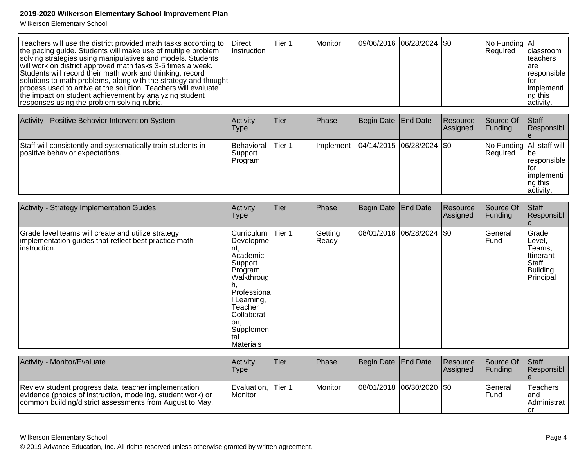Wilkerson Elementary School

| Teachers will use the district provided math tasks according to<br>the pacing guide. Students will make use of multiple problem<br>solving strategies using manipulatives and models. Students<br>will work on district approved math tasks 3-5 times a week.<br>Students will record their math work and thinking, record<br>solutions to math problems, along with the strategy and thought<br>process used to arrive at the solution. Teachers will evaluate<br>the impact on student achievement by analyzing student | Direct<br><i>Instruction</i> | Tier 1 | Monitor | 09/06/2016 06/28/2024   \$0 | No Funding All<br>Required | Iclassroom<br><b>Iteachers</b><br>lare<br>Tresponsible I<br>l TOT<br>limplementi l<br>$ $ ng this |
|---------------------------------------------------------------------------------------------------------------------------------------------------------------------------------------------------------------------------------------------------------------------------------------------------------------------------------------------------------------------------------------------------------------------------------------------------------------------------------------------------------------------------|------------------------------|--------|---------|-----------------------------|----------------------------|---------------------------------------------------------------------------------------------------|
| responses using the problem solving rubric.                                                                                                                                                                                                                                                                                                                                                                                                                                                                               |                              |        |         |                             |                            | lactivity.                                                                                        |

| Activity - Positive Behavior Intervention System                                                | Activity<br>Type                          | Tier   | Phase            | Begin Date End Date         | <b>Resource</b><br><b>Assigned</b> | <b>Source Of</b><br>IFundina | Staff<br>Responsibl                                                                               |
|-------------------------------------------------------------------------------------------------|-------------------------------------------|--------|------------------|-----------------------------|------------------------------------|------------------------------|---------------------------------------------------------------------------------------------------|
| Staff will consistently and systematically train students in<br>positive behavior expectations. | <b>Behavioral</b><br> Support_<br>Program | Tier 1 | <b>Implement</b> | 04/14/2015  06/28/2024  \$0 |                                    | <b>Required</b>              | No Funding   All staff will<br>lbe<br>responsible<br>ltor<br>limplementi<br> ng this<br>lactivity |

| Activity - Strategy Implementation Guides                                                                                    | Activity<br><b>Type</b>                                                                                                                                                                   | Tier   | Phase            | Begin Date End Date         | Resource<br>Assigned | Source Of<br>Funding | Staff<br>Responsibl                                                        |
|------------------------------------------------------------------------------------------------------------------------------|-------------------------------------------------------------------------------------------------------------------------------------------------------------------------------------------|--------|------------------|-----------------------------|----------------------|----------------------|----------------------------------------------------------------------------|
| Grade level teams will create and utilize strategy<br>implementation guides that reflect best practice math<br>linstruction. | <b>Curriculum</b><br> Developme<br>∣nt,<br>Academic<br>Support<br>Program,<br>Walkthroug<br>Professiona<br>Learning,<br>Teacher<br> Collaborati<br>lon.<br>Supplemen<br>ltal<br>Materials | Tier 1 | Getting<br>Ready | 08/01/2018 06/28/2024   \$0 |                      | General<br> Fund     | Grade<br>Level,<br>Teams.<br>∣ltinerant<br>Staff,<br>Building<br>Principal |

| Activity - Monitor/Evaluate                                                                                                                                                     | <b>Activity</b><br>Type | Tier   | <b>IPhase</b> | Begin Date End Date           | <b>Resource</b><br><b>Assigned</b> | <b>Source Of</b><br><b>IFunding</b> | <b>Staff</b><br>Responsibl       |
|---------------------------------------------------------------------------------------------------------------------------------------------------------------------------------|-------------------------|--------|---------------|-------------------------------|------------------------------------|-------------------------------------|----------------------------------|
| Review student progress data, teacher implementation<br>evidence (photos of instruction, modeling, student work) or<br>common building/district assessments from August to May. | Evaluation,<br>Monitor  | Tier 1 | Monitor       | $ 08/01/2018 06/30/2020 $ \$0 |                                    | lGeneral<br>l Fund                  | Teachers<br>land<br>IAdministrat |

#### Wilkerson Elementary School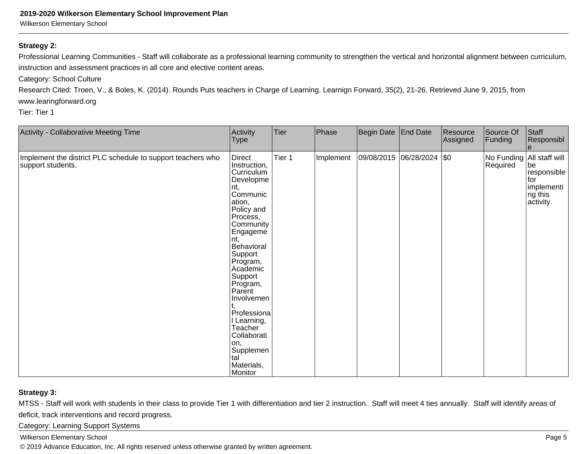Wilkerson Elementary School

#### **Strategy 2:**

Professional Learning Communities - Staff will collaborate as a professional learning community to strengthen the vertical and horizontal alignment between curriculum,instruction and assessment practices in all core and elective content areas.

Category: School Culture

Research Cited: Troen, V., & Boles, K. (2014). Rounds Puts teachers in Charge of Learning. Learnign Forward, 35(2), 21-26. Retrieved June 9, 2015, from www.learingforward.org

Tier: Tier 1

| Activity - Collaborative Meeting Time                                            | Activity<br>Type                                                                                                                                                                                                                                                                                                                                                   | Tier   | Phase     | Begin Date End Date |                           | Resource<br>Assigned | Source Of<br>Funding | Staff<br>Responsibl<br>e                                                                         |
|----------------------------------------------------------------------------------|--------------------------------------------------------------------------------------------------------------------------------------------------------------------------------------------------------------------------------------------------------------------------------------------------------------------------------------------------------------------|--------|-----------|---------------------|---------------------------|----------------------|----------------------|--------------------------------------------------------------------------------------------------|
| Implement the district PLC schedule to support teachers who<br>support students. | Direct<br>Instruction,<br>Curriculum<br>Developme<br>nt,<br>Communic<br>ation,<br>Policy and<br>Process,<br>Community<br>Engageme<br> nt,<br>Behavioral<br>Support<br>Program,<br>Academic<br>Support<br>Program,<br>Parent<br>Involvemen<br>Professiona<br>I Learning,<br>Teacher <sup>1</sup><br>Collaborati<br>on,<br>Supplemen<br>tal<br>Materials,<br>Monitor | Tier 1 | Implement |                     | 09/08/2015 06/28/2024 \$0 |                      | Required             | No Funding All staff will<br>be<br>responsible<br>lfor<br>implementi<br>$ $ ng this<br>activity. |

#### **Strategy 3:**

MTSS - Staff will work with students in their class to provide Tier 1 with differentiation and tier 2 instruction. Staff will meet 4 ties annually. Staff will identify areas ofdeficit, track interventions and record progress.

Category: Learning Support Systems

#### Wilkerson Elementary School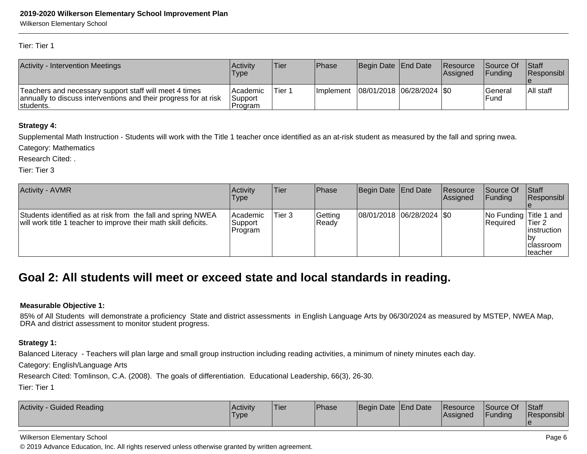Wilkerson Elementary School

Tier: Tier 1

| Activity - Intervention Meetings                                                                                                         | Activity<br>Type                              | 'Tier  | <b>IPhase</b>                             | Begin Date End Date | Resource<br><b>Assigned</b> | <b>Source Of</b><br><b>IFundina</b> | <b>Staff</b><br><b>Responsibl</b> |
|------------------------------------------------------------------------------------------------------------------------------------------|-----------------------------------------------|--------|-------------------------------------------|---------------------|-----------------------------|-------------------------------------|-----------------------------------|
| Teachers and necessary support staff will meet 4 times<br>annually to discuss interventions and their progress for at risk<br>Istudents. | <b>Academic</b><br><b>Support</b><br> Program | Tier 1 | Implement   08/01/2018   06/28/2024   \$0 |                     |                             | <b>General</b><br>l Fund            | All staff                         |

#### **Strategy 4:**

Supplemental Math Instruction - Students will work with the Title 1 teacher once identified as an at-risk student as measured by the fall and spring nwea.

Category: Mathematics

Research Cited: .

Tier: Tier 3

| <b>Activity - AVMR</b>                                                                                                          | Activity<br>Type                        | Tier   | <b>Phase</b>       | Begin Date End Date       | Resource<br><b>Assigned</b> | <b>Source Of</b><br> Funding              | $\vert$ Staff<br> Responsibl                                   |
|---------------------------------------------------------------------------------------------------------------------------------|-----------------------------------------|--------|--------------------|---------------------------|-----------------------------|-------------------------------------------|----------------------------------------------------------------|
| Students identified as at risk from the fall and spring NWEA<br>will work title 1 teacher to improve their math skill deficits. | <b>Academic</b><br> Support <br>Program | Tier 3 | Getting<br>l Readv | 08/01/2018 06/28/2024 \$0 |                             | No Funding Title 1 and<br><b>Required</b> | Tier 2 <br>linstruction<br>lbv<br><b>classroom</b><br>∣teacher |

# **Goal 2: All students will meet or exceed state and local standards in reading.**

#### **Measurable Objective 1:**

85% of All Students will demonstrate a proficiency State and district assessments in English Language Arts by 06/30/2024 as measured by MSTEP, NWEA Map, DRA and district assessment to monitor student progress.

**Strategy 1:** 

Balanced Literacy - Teachers will plan large and small group instruction including reading activities, a minimum of ninety minutes each day.

Category: English/Language Arts

Research Cited: Tomlinson, C.A. (2008). The goals of differentiation. Educational Leadership, 66(3), 26-30.

Tier: Tier 1

| Activity<br>. Guided Reading | Activity<br>'Type | <b>Tier</b> | <b>Phase</b> | Begin Date End Date |  | Resource<br><b>Assigned</b> | Source Of<br>Funding | <b>Staff</b><br>Responsibl |
|------------------------------|-------------------|-------------|--------------|---------------------|--|-----------------------------|----------------------|----------------------------|
|------------------------------|-------------------|-------------|--------------|---------------------|--|-----------------------------|----------------------|----------------------------|

#### Wilkerson Elementary School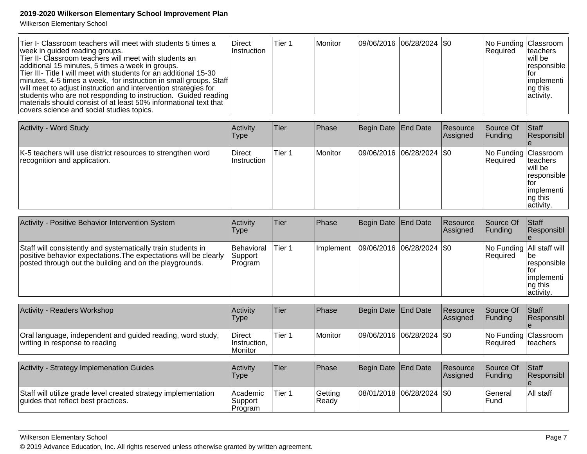Wilkerson Elementary School

| Tier I- Classroom teachers will meet with students 5 times a<br>week in guided reading groups.<br>Tier II- Classroom teachers will meet with students an<br>additional 15 minutes, 5 times a week in groups.<br>Tier III- Title I will meet with students for an additional 15-30<br>minutes, 4-5 times a week, for instruction in small groups. Staff<br>will meet to adjust instruction and intervention strategies for<br>students who are not responding to instruction. Guided reading<br>materials should consist of at least 50% informational text that<br>covers science and social studies topics. | <b>Direct</b><br>Instruction | Tier 1 | l Monitor | 09/06/2016 06/28/2024 \$0 |  |  | <b>IRequired</b> | No Funding Classroom<br> teachers<br>Iwill be<br>Tresponsible I<br>ıtor<br>limplementi l<br>∣ng this<br>activity. |
|--------------------------------------------------------------------------------------------------------------------------------------------------------------------------------------------------------------------------------------------------------------------------------------------------------------------------------------------------------------------------------------------------------------------------------------------------------------------------------------------------------------------------------------------------------------------------------------------------------------|------------------------------|--------|-----------|---------------------------|--|--|------------------|-------------------------------------------------------------------------------------------------------------------|
|--------------------------------------------------------------------------------------------------------------------------------------------------------------------------------------------------------------------------------------------------------------------------------------------------------------------------------------------------------------------------------------------------------------------------------------------------------------------------------------------------------------------------------------------------------------------------------------------------------------|------------------------------|--------|-----------|---------------------------|--|--|------------------|-------------------------------------------------------------------------------------------------------------------|

| <b>Activity - Word Study</b>                                                                | Activity<br>Type      | Tier   | Phase   | Begin Date End Date |                             | Resource<br>Assigned | Source Of<br><b>Funding</b>      | <b>Staff</b><br>Responsibl                                                                   |
|---------------------------------------------------------------------------------------------|-----------------------|--------|---------|---------------------|-----------------------------|----------------------|----------------------------------|----------------------------------------------------------------------------------------------|
| K-5 teachers will use district resources to strengthen word<br>recognition and application. | Direct<br>Instruction | Tier 1 | Monitor |                     | 09/06/2016 06/28/2024   \$0 |                      | No Funding Classroom<br>Required | <b>Iteachers</b><br>lwill be<br>responsible<br>Itor<br> implementi<br>∣ng this<br> activity. |

| Activity - Positive Behavior Intervention System                                                                                                                                            | Activitv<br>Type                         | Tier   | <b>IPhase</b>     | Begin Date End Date         | <b>IResource</b><br><b>Assigned</b> | <b>Source Of</b><br><b>IFunding</b> | Staff<br>Responsibl                                                                               |
|---------------------------------------------------------------------------------------------------------------------------------------------------------------------------------------------|------------------------------------------|--------|-------------------|-----------------------------|-------------------------------------|-------------------------------------|---------------------------------------------------------------------------------------------------|
| Staff will consistently and systematically train students in<br>positive behavior expectations. The expectations will be clearly<br>posted through out the building and on the playgrounds. | <b>Behavioral</b><br>Support<br> Program | Tier 1 | <b>Ilmplement</b> | 09/06/2016  06/28/2024  \$0 |                                     | <b>Required</b>                     | No Funding All staff will<br>lbe<br>responsible  <br>Itor<br>limplementi<br>Ing this<br> activity |

| Activity - Readers Workshop                                                                  | Activity<br>Type                          | Tier   | <b>Phase</b> | Begin Date End Date         | Resource<br><b>Assigned</b> | Source Of<br><b>IFunding</b>             | <b>Staff</b><br><b>Responsibl</b> |
|----------------------------------------------------------------------------------------------|-------------------------------------------|--------|--------------|-----------------------------|-----------------------------|------------------------------------------|-----------------------------------|
| Oral language, independent and guided reading, word study,<br>writing in response to reading | Direct<br>⊺Instruction.<br><b>Monitor</b> | Tier 1 | Monitor      | 09/06/2016 06/28/2024   \$0 |                             | No Funding Classroom<br><b>IRequired</b> | Iteachers                         |

| Activity - Strategy Implemenation Guides                                                              | <b>Activity</b><br>'Type         | 'Tier  | Phase            | Begin Date End Date |                               | Resource<br>lAssianed | Source Of<br><b>IFunding</b>   | <b>IStaff</b><br><b>Responsibl</b> |
|-------------------------------------------------------------------------------------------------------|----------------------------------|--------|------------------|---------------------|-------------------------------|-----------------------|--------------------------------|------------------------------------|
| Staff will utilize grade level created strategy implementation<br>guides that reflect best practices. | l Academic<br>Support<br>Program | Tier 1 | Getting<br>Ready |                     | $ 08/01/2018 06/28/2024 $ \$0 |                       | <b>Seneral</b><br><b>IFund</b> | All staff                          |

#### Wilkerson Elementary School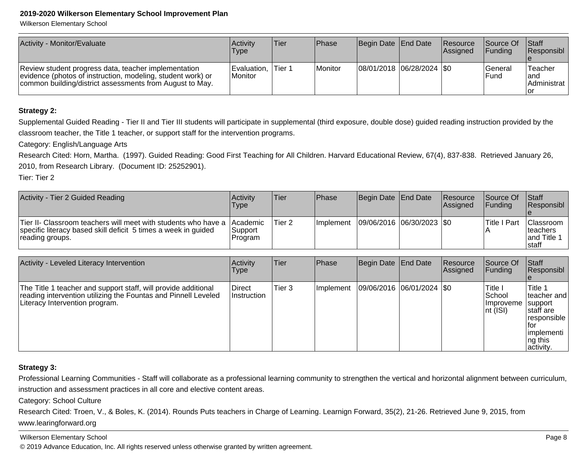Wilkerson Elementary School

| Activity - Monitor/Evaluate                                                                                                                                                     | Activity<br><b>Type</b> | lTier.         | Phase          | Begin Date End Date         | Resource<br>Assigned | <b>Source Of</b><br><b>IFundina</b> | <b>Staff</b><br>Responsibl        |
|---------------------------------------------------------------------------------------------------------------------------------------------------------------------------------|-------------------------|----------------|----------------|-----------------------------|----------------------|-------------------------------------|-----------------------------------|
| Review student progress data, teacher implementation<br>evidence (photos of instruction, modeling, student work) or<br>common building/district assessments from August to May. | Evaluation.<br>Monitor  | <b>ITier 1</b> | <b>Monitor</b> | 08/01/2018  06/28/2024  \$0 |                      | lGeneral<br>l Fund                  | Teacher<br>land<br>IAdministrat l |

#### **Strategy 2:**

Supplemental Guided Reading - Tier II and Tier III students will participate in supplemental (third exposure, double dose) guided reading instruction provided by the classroom teacher, the Title 1 teacher, or support staff for the intervention programs.

Category: English/Language Arts

 Research Cited: Horn, Martha. (1997). Guided Reading: Good First Teaching for All Children. Harvard Educational Review, 67(4), 837-838. Retrieved January 26,2010, from Research Library. (Document ID: 25252901).

Tier: Tier 2

| Activity - Tier 2 Guided Reading                                                                                                                    | <b>Activity</b><br>Type                       | Tier   | <b>IPhase</b> | Begin Date End Date         | <b>Resource</b><br> Assigned | <b>ISource Of</b><br>IFundina | <b>Staff</b><br><b>Responsibl</b>                  |
|-----------------------------------------------------------------------------------------------------------------------------------------------------|-----------------------------------------------|--------|---------------|-----------------------------|------------------------------|-------------------------------|----------------------------------------------------|
| Tier II- Classroom teachers will meet with students who have a<br>specific literacy based skill deficit 5 times a week in guided<br>reading groups. | <b>IAcademic</b><br><b>Support</b><br>Program | Tier 2 | Ilmplement    | 09/06/2016  06/30/2023  \$0 |                              | Title I Part                  | Classroom  <br>Iteachers<br>land Title 1<br>Istaff |

| Activity - Leveled Literacy Intervention                                                                                                                           | Activity<br><b>Type</b>      | Tier   | <b>Phase</b> | Begin Date End Date           | Resource<br> Assigned | Source Of<br> Funding                                        | <b>Staff</b><br>Responsibl                                                                              |
|--------------------------------------------------------------------------------------------------------------------------------------------------------------------|------------------------------|--------|--------------|-------------------------------|-----------------------|--------------------------------------------------------------|---------------------------------------------------------------------------------------------------------|
| The Title 1 teacher and support staff, will provide additional<br>reading intervention utilizing the Fountas and Pinnell Leveled<br>Literacy Intervention program. | Direct<br><b>Instruction</b> | Tier 3 | Implement    | $ 09/06/2016 06/01/2024 $ \$0 |                       | Title I<br>ISchool<br>Ilmproveme Isupport<br>$ nt$ ( $ SI$ ) | Title 1<br>Iteacher and l<br>Istaff are<br>responsible<br>Itor<br>limplementi<br>∣ng this<br> activity. |

#### **Strategy 3:**

Professional Learning Communities - Staff will collaborate as a professional learning community to strengthen the vertical and horizontal alignment between curriculum, instruction and assessment practices in all core and elective content areas.

Category: School Culture

Research Cited: Troen, V., & Boles, K. (2014). Rounds Puts teachers in Charge of Learning. Learnign Forward, 35(2), 21-26. Retrieved June 9, 2015, from www.learingforward.org

Wilkerson Elementary School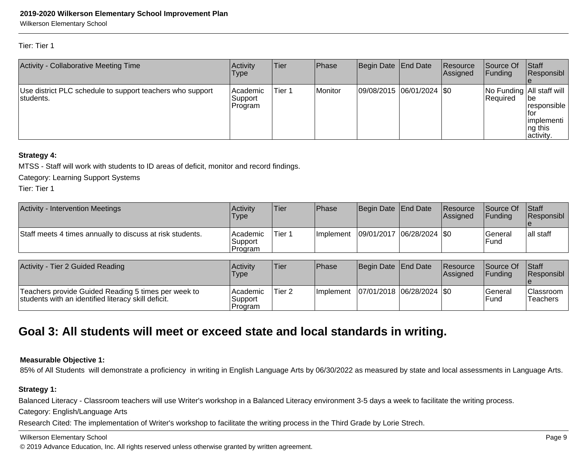Wilkerson Elementary School

Tier: Tier 1

| <b>Activity - Collaborative Meeting Time</b>                           | Activity<br><b>Type</b>          | <b>Tier</b> | <b>Phase</b> | Begin Date End Date         | Resource<br>Assigned | Source Of<br> Funding | Staff<br> Responsibl                                                                            |
|------------------------------------------------------------------------|----------------------------------|-------------|--------------|-----------------------------|----------------------|-----------------------|-------------------------------------------------------------------------------------------------|
| Use district PLC schedule to support teachers who support<br>students. | Academic<br> Support_<br>Program | Tier 1      | Monitor      | 09/08/2015 06/01/2024   \$0 |                      | <b>IRequired</b>      | No Funding All staff will<br>lbe<br>responsible<br>ltor<br>limplementi<br>∣ng this<br>activity. |

#### **Strategy 4:**

MTSS - Staff will work with students to ID areas of deficit, monitor and record findings.

Category: Learning Support Systems

Tier: Tier 1

| Activity - Intervention Meetings                          | <b>Activity</b><br>Type          | <b>Tier</b> | Phase            | Begin Date End Date         | Resource<br>Assigned | Source Of<br><b>Funding</b> | Staff<br>Responsibl |
|-----------------------------------------------------------|----------------------------------|-------------|------------------|-----------------------------|----------------------|-----------------------------|---------------------|
| Staff meets 4 times annually to discuss at risk students. | l Academic<br>Support<br>Program | Tier 1      | <b>Implement</b> | 09/01/2017  06/28/2024  \$0 |                      | lGeneral<br>Fund            | lall staff          |
|                                                           |                                  |             |                  |                             |                      |                             |                     |

| Activity - Tier 2 Guided Reading                                                                           | Activity<br>'Type                       | Tier   | Phase                                     | Begin Date End Date | <b>Resource</b><br>lAssianed | Source Of<br><b>IFundina</b> | <b>Staff</b><br><b>Responsibl</b> |
|------------------------------------------------------------------------------------------------------------|-----------------------------------------|--------|-------------------------------------------|---------------------|------------------------------|------------------------------|-----------------------------------|
| Teachers provide Guided Reading 5 times per week to<br>students with an identified literacy skill deficit. | <b>Academic</b><br>lSupport.<br>Program | Tier 2 | Implement   07/01/2018   06/28/2024   \$0 |                     |                              | lGeneral<br>lFund            | Classroom  <br>Teachers           |

# **Goal 3: All students will meet or exceed state and local standards in writing.**

#### **Measurable Objective 1:**

85% of All Students will demonstrate a proficiency in writing in English Language Arts by 06/30/2022 as measured by state and local assessments in Language Arts.

#### **Strategy 1:**

Balanced Literacy - Classroom teachers will use Writer's workshop in a Balanced Literacy environment 3-5 days a week to facilitate the writing process.

Category: English/Language Arts

Research Cited: The implementation of Writer's workshop to facilitate the writing process in the Third Grade by Lorie Strech.

#### Wilkerson Elementary School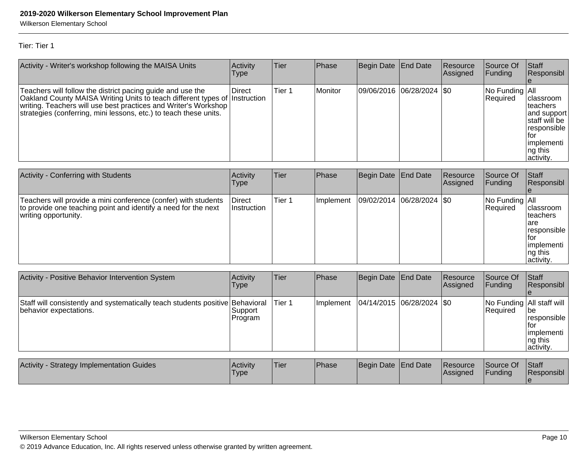Wilkerson Elementary School

Tier: Tier 1

| Activity - Writer's workshop following the MAISA Units                                                                                                                                                                                                                              | Activity<br>Type | lTier  | <b>Phase</b> | Begin Date   End Date       | <b>Resource</b><br>Assigned | Source Of<br> Funding        | Staff<br>Responsibl                                                                                                     |
|-------------------------------------------------------------------------------------------------------------------------------------------------------------------------------------------------------------------------------------------------------------------------------------|------------------|--------|--------------|-----------------------------|-----------------------------|------------------------------|-------------------------------------------------------------------------------------------------------------------------|
| Teachers will follow the district pacing guide and use the<br>Oakland County MAISA Writing Units to teach different types of Instruction<br> writing. Teachers will use best practices and Writer's Workshop  <br>strategies (conferring, mini lessons, etc.) to teach these units. | <b>Direct</b>    | Tier 1 | Monitor      | 09/06/2016  06/28/2024  \$0 |                             | No Funding   All<br>Required | Iclassroom<br>Iteachers<br>and support<br>Istaff will be<br>Iresponsible<br>ιτοι<br>limplementi<br> ngthis<br>activity. |

| <b>Activity - Conferring with Students</b>                                                                                                               | Activity<br><b>Type</b> | Tier   | Phase            | Begin Date End Date           | <b>Resource</b><br>Assigned | Source Of<br><b>IFunding</b> | Staff<br>Responsibl                                                                            |
|----------------------------------------------------------------------------------------------------------------------------------------------------------|-------------------------|--------|------------------|-------------------------------|-----------------------------|------------------------------|------------------------------------------------------------------------------------------------|
| Teachers will provide a mini conference (confer) with students<br>to provide one teaching point and identify a need for the next<br>writing opportunity. | Direct<br>⊺Instruction  | Tier 1 | <b>Implement</b> | $ 09/02/2014 06/28/2024 $ \$0 |                             | No Funding All<br> Required  | classroom<br>Iteachers<br>lare<br>responsible<br>Itor<br>limplementi<br>Ing this<br>lactivity. |

| Activity - Positive Behavior Intervention System                                                        | Activity<br>Type   | <b>Tier</b> | Phase                                     | Begin Date End Date | Resource<br><b>Assigned</b> | Source Of<br>IFundina | <b>Staff</b><br>Responsibl                                                                         |
|---------------------------------------------------------------------------------------------------------|--------------------|-------------|-------------------------------------------|---------------------|-----------------------------|-----------------------|----------------------------------------------------------------------------------------------------|
| Staff will consistently and systematically teach students positive Behavioral<br>behavior expectations. | Support<br>Program | lTier 1     | Implement   04/14/2015   06/28/2024   \$0 |                     |                             | <b>IRequired</b>      | No Funding   All staff will<br>lbe.<br>responsible<br>ıfor<br>limplementi<br>∣ng this<br>activity. |

| <b>Activity</b><br><b>Strategy Implementation Guides</b> | <b>Activity</b><br>'Type | 'Tier | <b>Phase</b> | Begin Date End Date |  | <b>Resource</b><br><b>Assigned</b> | Source Of<br>Funding | Staff<br>Responsibl |
|----------------------------------------------------------|--------------------------|-------|--------------|---------------------|--|------------------------------------|----------------------|---------------------|
|----------------------------------------------------------|--------------------------|-------|--------------|---------------------|--|------------------------------------|----------------------|---------------------|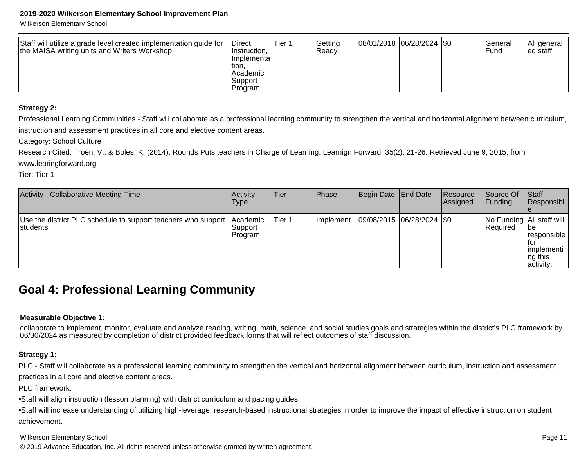Wilkerson Elementary School

| Staff will utilize a grade level created implementation guide for<br>the MAISA writing units and Writers Workshop. | Direct<br>Instruction.<br>l Implementa l<br>ltion. | Tier 1 | Getting<br> Ready | 08/01/2018 06/28/2024   \$0 |  | lGeneral<br>lFund | All general  <br>ed staff. |
|--------------------------------------------------------------------------------------------------------------------|----------------------------------------------------|--------|-------------------|-----------------------------|--|-------------------|----------------------------|
|                                                                                                                    | l Academic<br>⊦Support<br>Program                  |        |                   |                             |  |                   |                            |

#### **Strategy 2:**

Professional Learning Communities - Staff will collaborate as a professional learning community to strengthen the vertical and horizontal alignment between curriculum,instruction and assessment practices in all core and elective content areas.

Category: School Culture

Research Cited: Troen, V., & Boles, K. (2014). Rounds Puts teachers in Charge of Learning. Learnign Forward, 35(2), 21-26. Retrieved June 9, 2015, fromwww.learingforward.org

Tier: Tier 1

| Activity - Collaborative Meeting Time                                      | Activity<br><b>Type</b>         | lTier. | Phase     | Begin Date   End Date         | Resource<br>Assigned | Source Of<br>IFundina l | Staff<br>Responsibl                                                                                |
|----------------------------------------------------------------------------|---------------------------------|--------|-----------|-------------------------------|----------------------|-------------------------|----------------------------------------------------------------------------------------------------|
| Use the district PLC schedule to support teachers who support<br>students. | Academic<br> Support<br>Program | Tier 1 | Implement | $ 09/08/2015 06/28/2024 $ \$0 |                      | <b>IRequired</b>        | No Funding All staff will<br>lbe<br> responsible  <br>Itor<br>limplementi<br>∣ng this<br>activity. |

### **Goal 4: Professional Learning Community**

#### **Measurable Objective 1:**

collaborate to implement, monitor, evaluate and analyze reading, writing, math, science, and social studies goals and strategies within the district's PLC framework by<br>06/30/2024 as measured by completion of district provi

#### **Strategy 1:**

PLC - Staff will collaborate as a professional learning community to strengthen the vertical and horizontal alignment between curriculum, instruction and assessment practices in all core and elective content areas.

PLC framework:

• Staff will align instruction (lesson planning) with district curriculum and pacing guides.

• Staff will increase understanding of utilizing high-leverage, research-based instructional strategies in order to improve the impact of effective instruction on studentachievement.

#### Wilkerson Elementary School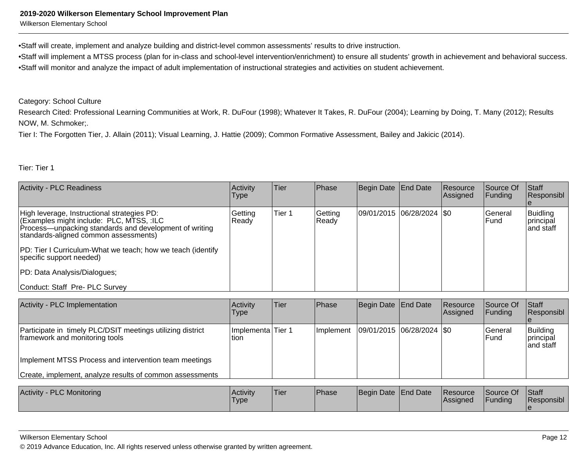Wilkerson Elementary School

• Staff will create, implement and analyze building and district-level common assessments' results to drive instruction.

• Staff will implement a MTSS process (plan for in-class and school-level intervention/enrichment) to ensure all students' growth in achievement and behavioral success.

• Staff will monitor and analyze the impact of adult implementation of instructional strategies and activities on student achievement.

Category: School Culture

 Research Cited: Professional Learning Communities at Work, R. DuFour (1998); Whatever It Takes, R. DuFour (2004); Learning by Doing, T. Many (2012); ResultsNOW, M. Schmoker;.

Tier I: The Forgotten Tier, J. Allain (2011); Visual Learning, J. Hattie (2009); Common Formative Assessment, Bailey and Jakicic (2014).

Tier: Tier 1

| Activity - PLC Readiness                                                                                                                                                                                                                                                              | Activity<br>Type | Tier   | Phase            | Begin Date End Date         | Resource<br>Assigned | Source Of<br>Funding | <b>Staff</b><br>Responsibl                 |
|---------------------------------------------------------------------------------------------------------------------------------------------------------------------------------------------------------------------------------------------------------------------------------------|------------------|--------|------------------|-----------------------------|----------------------|----------------------|--------------------------------------------|
| High leverage, Instructional strategies PD:<br>(Examples might include: PLC, MTSS, :ILC<br>Process—unpacking standards and development of writing<br>standards-aligned common assessments)<br>PD: Tier I Curriculum-What we teach; how we teach (identify<br>specific support needed) | Getting<br>Ready | Tier 1 | Getting<br>Ready | 09/01/2015 06/28/2024   \$0 |                      | lGeneral<br>lFund    | Buidling<br><b>principal</b><br>land staff |
| PD: Data Analysis/Dialogues;                                                                                                                                                                                                                                                          |                  |        |                  |                             |                      |                      |                                            |
| Conduct: Staff Pre- PLC Survey                                                                                                                                                                                                                                                        |                  |        |                  |                             |                      |                      |                                            |

| Activity - PLC Implementation                                                                | Activity<br><b>Type</b>     | Tier | Phase     | Begin Date End Date           | Resource<br>Assigned | Source Of<br>Funding | Staff<br>Responsibl                 |
|----------------------------------------------------------------------------------------------|-----------------------------|------|-----------|-------------------------------|----------------------|----------------------|-------------------------------------|
| Participate in timely PLC/DSIT meetings utilizing district<br>framework and monitoring tools | Implementa Tier 1<br>ltion. |      | Implement | $ 09/01/2015 06/28/2024 $ \$0 |                      | lGeneral<br>lFund    | Building<br>principal<br>land staff |
| Implement MTSS Process and intervention team meetings                                        |                             |      |           |                               |                      |                      |                                     |
| Create, implement, analyze results of common assessments                                     |                             |      |           |                               |                      |                      |                                     |
| Activity - PLC Monitoring                                                                    | Activity<br>Type            | Tier | Phase     | Begin Date End Date           | Resource<br>Assigned | Source Of<br>Funding | Staff<br>Responsibl                 |

Wilkerson Elementary School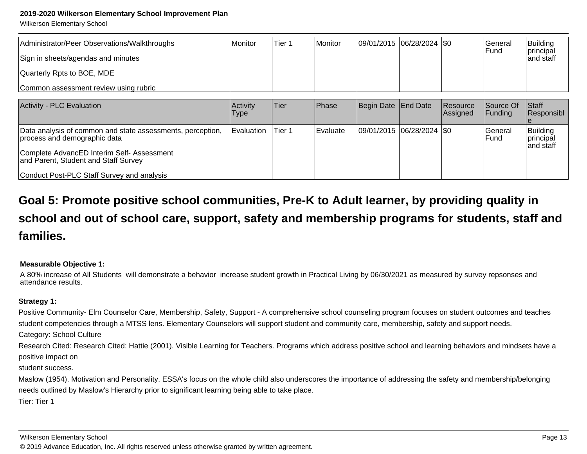Wilkerson Elementary School

| Administrator/Peer Observations/Walkthroughs | l Monitor | Tier 1 | Monitor | 09/01/2015 06/28/2024   \$0 |  | General<br><b>IFund</b> | Building<br><i>Iprincipal</i> |
|----------------------------------------------|-----------|--------|---------|-----------------------------|--|-------------------------|-------------------------------|
| Sign in sheets/agendas and minutes           |           |        |         |                             |  |                         | and staff                     |
| Quarterly Rpts to BOE, MDE                   |           |        |         |                             |  |                         |                               |
| Common assessment review using rubric        |           |        |         |                             |  |                         |                               |

| Activity - PLC Evaluation                                                                                                                                                                                                      | Activity<br><b>Type</b> | lTier. | Phase    | Begin Date End Date         | Resource<br>Assigned | Source Of<br>IFundina | <b>Staff</b><br>Responsibl                  |
|--------------------------------------------------------------------------------------------------------------------------------------------------------------------------------------------------------------------------------|-------------------------|--------|----------|-----------------------------|----------------------|-----------------------|---------------------------------------------|
| Data analysis of common and state assessments, perception,<br>process and demographic data<br>Complete AdvancED Interim Self- Assessment<br>and Parent, Student and Staff Survey<br>Conduct Post-PLC Staff Survey and analysis | <b>Evaluation</b>       | Tier 1 | Evaluate | 09/01/2015 06/28/2024   \$0 |                      | lGeneral<br>l Fund    | Building<br><i>Iprincipal</i><br>land staff |

# **Goal 5: Promote positive school communities, Pre-K to Adult learner, by providing quality inschool and out of school care, support, safety and membership programs for students, staff andfamilies.**

#### **Measurable Objective 1:**

A 80% increase of All Students will demonstrate a behavior increase student growth in Practical Living by 06/30/2021 as measured by survey repsonses andattendance results.

#### **Strategy 1:**

Positive Community- Elm Counselor Care, Membership, Safety, Support - A comprehensive school counseling program focuses on student outcomes and teachesstudent competencies through a MTSS lens. Elementary Counselors will support student and community care, membership, safety and support needs.

Category: School Culture

Research Cited: Research Cited: Hattie (2001). Visible Learning for Teachers. Programs which address positive school and learning behaviors and mindsets have a positive impact on

student success.

Maslow (1954). Motivation and Personality. ESSA's focus on the whole child also underscores the importance of addressing the safety and membership/belongingneeds outlined by Maslow's Hierarchy prior to significant learning being able to take place.Tier: Tier 1

#### Wilkerson Elementary School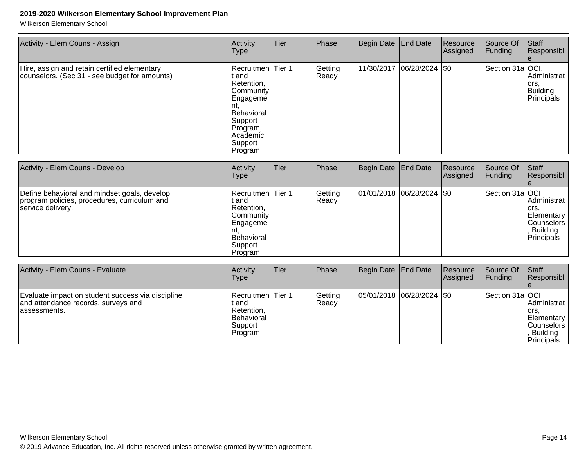| Activity - Elem Couns - Assign                                                                | Activity<br><b>Type</b>                                                                                                                    | Tier | Phase            | Begin Date End Date |                             | Resource<br>Assigned | Source Of<br> Funding | <b>Staff</b><br>Responsibl                     |
|-----------------------------------------------------------------------------------------------|--------------------------------------------------------------------------------------------------------------------------------------------|------|------------------|---------------------|-----------------------------|----------------------|-----------------------|------------------------------------------------|
| Hire, assign and retain certified elementary<br>counselors. (Sec 31 - see budget for amounts) | Recruitmen Tier 1<br>t and<br>Retention,<br> Community<br>Engageme<br>Behavioral<br>Support<br> Program,<br>Academic<br>Support<br>Program |      | Getting<br>Ready |                     | 11/30/2017 06/28/2024   \$0 |                      | Section 31a OCI,      | Administrat<br>lors.<br>Building<br>Principals |

| Activity - Elem Couns - Develop                                                                                   | Activity<br>Type                                                                                                   | <b>Tier</b> | <b>Phase</b>      | Begin Date End Date           | Resource<br>Assigned | <b>Source Of</b><br> Funding | Staff<br>Responsibl                                                                     |
|-------------------------------------------------------------------------------------------------------------------|--------------------------------------------------------------------------------------------------------------------|-------------|-------------------|-------------------------------|----------------------|------------------------------|-----------------------------------------------------------------------------------------|
| Define behavioral and mindset goals, develop<br>program policies, procedures, curriculum and<br>service delivery. | <b>Recruitmen Tier 1</b><br>lt and<br>Retention.<br>∣Communitv<br>Engageme<br> Behavioral<br> Support <br>⊺Program |             | Getting<br> Ready | $ 01/01/2018 06/28/2024 $ \$0 |                      | Section 31a OCI              | Administrat  <br>lors.<br> Elementary  <br> Counselors<br><b>Building</b><br>Principals |

| Activity - Elem Couns - Evaluate                                                                          | Activity<br><b>Type</b>                                                               | lTier. | Phase            | Begin Date End Date         | <b>Resource</b><br>Assigned | <b>Source Of</b><br> Funding | <b>Staff</b><br>Responsibl                                                       |
|-----------------------------------------------------------------------------------------------------------|---------------------------------------------------------------------------------------|--------|------------------|-----------------------------|-----------------------------|------------------------------|----------------------------------------------------------------------------------|
| Evaluate impact on student success via discipline<br>and attendance records, surveys and<br>lassessments. | Recruitmen Tier 1<br>lt and<br>Retention.<br><b>Behavioral</b><br> Support<br>Program |        | Getting<br>Ready | 05/01/2018 06/28/2024   \$0 |                             | Section 31a OCI              | Administrat<br>lors.<br> Elementary  <br> Counselors  <br>Buildina<br>Principals |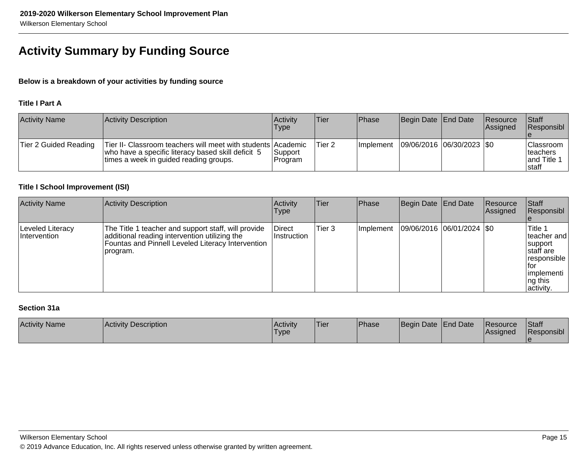# **Activity Summary by Funding Source**

#### **Below is a breakdown of your activities by funding source**

#### **Title I Part A**

| <b>Activity Name</b>  | Activity Description                                                                                                                                         | Activity<br>Type   | <b>Tier</b> | Phase            | Begin Date End Date      | Resource<br>Assigned | Staff<br> Responsibl                             |
|-----------------------|--------------------------------------------------------------------------------------------------------------------------------------------------------------|--------------------|-------------|------------------|--------------------------|----------------------|--------------------------------------------------|
| Tier 2 Guided Reading | Tier II- Classroom teachers will meet with students Academic<br>who have a specific literacy based skill deficit 5<br>times a week in guided reading groups. | Support<br>Program | Tier 2      | <b>Implement</b> | 09/06/2016 06/30/2023 50 |                      | IClassroom l<br>Iteachers<br>and Title<br>∣staff |

#### **Title I School Improvement (ISI)**

| <b>Activity Name</b>             | Activity Description                                                                                                                                                  | Activity<br><b>Type</b>      | <b>Tier</b> | <b>Phase</b> | Begin Date   End Date       | Resource<br>Assigned | <b>Staff</b><br>Responsibl                                                                                        |
|----------------------------------|-----------------------------------------------------------------------------------------------------------------------------------------------------------------------|------------------------------|-------------|--------------|-----------------------------|----------------------|-------------------------------------------------------------------------------------------------------------------|
| Leveled Literacy<br>Intervention | The Title 1 teacher and support staff, will provide<br>additional reading intervention utilizing the<br>Fountas and Pinnell Leveled Literacy Intervention<br>program. | Direct<br><b>Instruction</b> | Tier 3      | Implement    | 09/06/2016  06/01/2024  \$0 |                      | Title 1<br> teacher and <br>support<br>Istaff are<br>responsible<br>Itor<br> implementi<br>∣ng this<br> activity. |

#### **Section 31a**

| <b>Activity Name</b> | <b>Activity Description</b> | <b>Activity</b><br><b>Type</b> | 'Tier | <b>Phase</b> | Begin Date   End Date |  | <b>Resource</b><br><b>Assigned</b> | <b>Staff</b><br>Responsibl |
|----------------------|-----------------------------|--------------------------------|-------|--------------|-----------------------|--|------------------------------------|----------------------------|
|----------------------|-----------------------------|--------------------------------|-------|--------------|-----------------------|--|------------------------------------|----------------------------|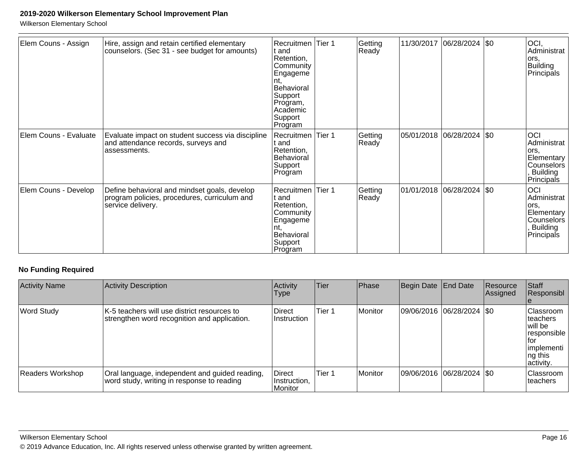Wilkerson Elementary School

| Elem Couns - Assign   | Hire, assign and retain certified elementary<br>counselors. (Sec 31 - see budget for amounts)                     | Recruitmen Tier 1<br>t and<br>Retention,<br>Community<br>Engageme<br>Behavioral<br>Support<br>Program,<br>Academic<br>Support<br>Program | Getting<br>Ready |            | 11/30/2017 06/28/2024   \$0 |             | OCI,<br>Administrat<br>lors.<br>Building<br>Principals                                           |
|-----------------------|-------------------------------------------------------------------------------------------------------------------|------------------------------------------------------------------------------------------------------------------------------------------|------------------|------------|-----------------------------|-------------|--------------------------------------------------------------------------------------------------|
| Elem Couns - Evaluate | Evaluate impact on student success via discipline<br>and attendance records, surveys and<br>assessments.          | Recruitmen Tier 1<br>t and<br>Retention,<br>Behavioral<br>Support<br>Program                                                             | Getting<br>Ready | 05/01/2018 | 06/28/2024                  | $\sqrt{50}$ | loci<br>Administrat<br>lors.<br>Elementary<br><b>Counselors</b><br><b>Building</b><br>Principals |
| Elem Couns - Develop  | Define behavioral and mindset goals, develop<br>program policies, procedures, curriculum and<br>service delivery. | Recruitmen   Tier 1<br>t and<br>Retention,<br>Community<br>Engageme<br>nt.<br>Behavioral<br>Support<br>Program                           | Getting<br>Ready |            | 01/01/2018  06/28/2024  \$0 |             | loci<br>Administrat<br>lors.<br>Elementary<br>Counselors<br><b>Building</b><br>Principals        |

#### **No Funding Required**

| <b>Activity Name</b> | Activity Description                                                                         | <b>Activity</b><br>Type                  | Tier   | Phase   | Begin Date End Date         | Resource<br>Assigned | Staff<br>Responsibl                                                                                       |
|----------------------|----------------------------------------------------------------------------------------------|------------------------------------------|--------|---------|-----------------------------|----------------------|-----------------------------------------------------------------------------------------------------------|
| <b>Word Study</b>    | K-5 teachers will use district resources to<br>strengthen word recognition and application.  | Direct<br>∣Instruction                   | Tier 1 | Monitor | 09/06/2016  06/28/2024  \$0 |                      | <b>Classroom</b><br>Iteachers<br>lwill be<br> responsible_<br>Itor<br>implementi<br>∣ng this<br>activity. |
| Readers Workshop     | Oral language, independent and guided reading,<br>word study, writing in response to reading | Direct<br>Instruction,<br><b>Monitor</b> | Tier 1 | Monitor | 09/06/2016  06/28/2024  \$0 |                      | <b>Classroom</b><br>Iteachers                                                                             |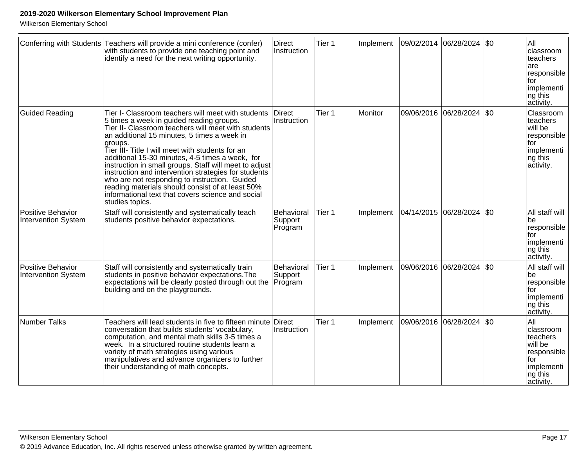|                                                 | Conferring with Students Teachers will provide a mini conference (confer)<br>with students to provide one teaching point and<br>identify a need for the next writing opportunity.                                                                                                                                                                                                                                                                                                                                                                                                                                     | Direct<br>Instruction            | Tier 1 | Implement | 09/02/2014 06/28/2024 \$0 |            |           | All<br>classroom<br>teachers<br>are<br>responsible<br>for<br>implementi<br>ng this<br>activity.     |
|-------------------------------------------------|-----------------------------------------------------------------------------------------------------------------------------------------------------------------------------------------------------------------------------------------------------------------------------------------------------------------------------------------------------------------------------------------------------------------------------------------------------------------------------------------------------------------------------------------------------------------------------------------------------------------------|----------------------------------|--------|-----------|---------------------------|------------|-----------|-----------------------------------------------------------------------------------------------------|
| <b>Guided Reading</b>                           | Tier I- Classroom teachers will meet with students<br>5 times a week in guided reading groups.<br>Tier II- Classroom teachers will meet with students<br>an additional 15 minutes, 5 times a week in<br>groups.<br>Tier III- Title I will meet with students for an<br>additional 15-30 minutes, 4-5 times a week, for<br>instruction in small groups. Staff will meet to adjust<br>instruction and intervention strategies for students<br>who are not responding to instruction. Guided<br>reading materials should consist of at least 50%<br>informational text that covers science and social<br>studies topics. | Direct<br>Instruction            | Tier 1 | Monitor   | 09/06/2016                | 06/28/2024 | \$0       | Classroom<br>teachers<br>will be<br>responsible<br>for<br>implementi<br>ng this<br>activity.        |
| Positive Behavior<br><b>Intervention System</b> | Staff will consistently and systematically teach<br>students positive behavior expectations.                                                                                                                                                                                                                                                                                                                                                                                                                                                                                                                          | Behavioral<br>Support<br>Program | Tier 1 | Implement | 04/14/2015 06/28/2024 \$0 |            |           | All staff will<br>be<br>responsible<br>for<br>implementi<br>ng this<br>activity.                    |
| Positive Behavior<br>Intervention System        | Staff will consistently and systematically train<br>students in positive behavior expectations. The<br>expectations will be clearly posted through out the<br>building and on the playgrounds.                                                                                                                                                                                                                                                                                                                                                                                                                        | Behavioral<br>Support<br>Program | Tier 1 | Implement | 09/06/2016 06/28/2024     |            | <b>SO</b> | All staff will<br>be<br>responsible<br>for<br>implementi<br>ng this<br>activity.                    |
| Number Talks                                    | Teachers will lead students in five to fifteen minute<br>conversation that builds students' vocabulary,<br>computation, and mental math skills 3-5 times a<br>week. In a structured routine students learn a<br>variety of math strategies using various<br>manipulatives and advance organizers to further<br>their understanding of math concepts.                                                                                                                                                                                                                                                                  | Direct<br>Instruction            | Tier 1 | Implement | 09/06/2016 06/28/2024 \$0 |            |           | All<br>classroom<br>teachers<br>will be<br>responsible<br>for<br>implementi<br>ng this<br>activity. |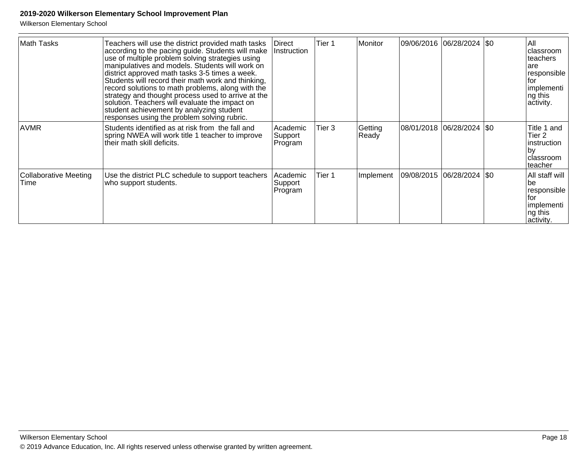| Math Tasks                           | Teachers will use the district provided math tasks<br>according to the pacing guide. Students will make<br>use of multiple problem solving strategies using<br>manipulatives and models. Students will work on<br>district approved math tasks 3-5 times a week.<br>Students will record their math work and thinking,<br>record solutions to math problems, along with the<br>strategy and thought process used to arrive at the<br>solution. Teachers will evaluate the impact on<br>student achievement by analyzing student<br>responses using the problem solving rubric. | Direct<br>Instruction          | Tier 1 | Monitor          | 09/06/2016  06/28/2024  \$0 | All<br>⊧classroom<br>teachers<br>lare<br>responsible<br>lfor<br>implementi<br>ng this<br>activity. |
|--------------------------------------|--------------------------------------------------------------------------------------------------------------------------------------------------------------------------------------------------------------------------------------------------------------------------------------------------------------------------------------------------------------------------------------------------------------------------------------------------------------------------------------------------------------------------------------------------------------------------------|--------------------------------|--------|------------------|-----------------------------|----------------------------------------------------------------------------------------------------|
| AVMR                                 | Students identified as at risk from the fall and<br>spring NWEA will work title 1 teacher to improve<br>their math skill deficits.                                                                                                                                                                                                                                                                                                                                                                                                                                             | Academic<br>Support<br>Program | Tier 3 | Getting<br>Ready | 08/01/2018  06/28/2024  \$0 | Title 1 and<br>Tier 2<br>instruction<br>lby<br>classroom<br>lteacher                               |
| <b>Collaborative Meeting</b><br>Time | Use the district PLC schedule to support teachers<br>who support students.                                                                                                                                                                                                                                                                                                                                                                                                                                                                                                     | Academic<br>Support<br>Program | Tier 1 | Implement        | 09/08/2015 06/28/2024   \$0 | All staff will<br>be<br>responsible<br>lfor<br>implementi<br>∣ng this<br>activity.                 |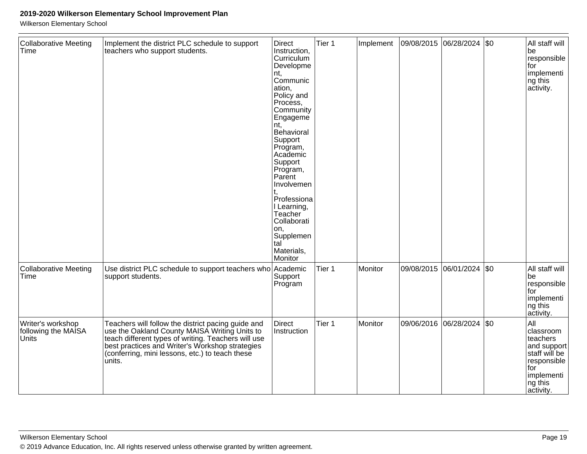| <b>Collaborative Meeting</b><br>Time | Implement the district PLC schedule to support<br>teachers who support students.                       | Direct<br>Instruction,  | Tier 1 | Implement |            | 09/08/2015 06/28/2024 \$0 |         | All staff will<br> be        |
|--------------------------------------|--------------------------------------------------------------------------------------------------------|-------------------------|--------|-----------|------------|---------------------------|---------|------------------------------|
|                                      |                                                                                                        | Curriculum<br>Developme |        |           |            |                           |         | responsible<br>for           |
|                                      |                                                                                                        | nt,                     |        |           |            |                           |         | implementi                   |
|                                      |                                                                                                        | Communic<br>ation,      |        |           |            |                           |         | $\ln g$ this<br>activity.    |
|                                      |                                                                                                        | Policy and<br>Process,  |        |           |            |                           |         |                              |
|                                      |                                                                                                        | Community               |        |           |            |                           |         |                              |
|                                      |                                                                                                        | Engageme<br>nt.         |        |           |            |                           |         |                              |
|                                      |                                                                                                        | Behavioral<br>Support   |        |           |            |                           |         |                              |
|                                      |                                                                                                        | Program,<br>Academic    |        |           |            |                           |         |                              |
|                                      |                                                                                                        | Support                 |        |           |            |                           |         |                              |
|                                      |                                                                                                        | Program,<br>Parent      |        |           |            |                           |         |                              |
|                                      |                                                                                                        | Involvemen              |        |           |            |                           |         |                              |
|                                      |                                                                                                        | Professiona             |        |           |            |                           |         |                              |
|                                      |                                                                                                        | Learning,<br>Teacher    |        |           |            |                           |         |                              |
|                                      |                                                                                                        | Collaborati<br>on,      |        |           |            |                           |         |                              |
|                                      |                                                                                                        | Supplemen<br>tal        |        |           |            |                           |         |                              |
|                                      |                                                                                                        | Materials,<br>Monitor   |        |           |            |                           |         |                              |
| <b>Collaborative Meeting</b>         | Use district PLC schedule to support teachers who                                                      | Academic                | Tier 1 | Monitor   |            | 09/08/2015 06/01/2024     | $ $ \$0 | All staff will               |
| Time                                 | support students.                                                                                      | Support<br>Program      |        |           |            |                           |         | be<br>responsible            |
|                                      |                                                                                                        |                         |        |           |            |                           |         | lfor                         |
|                                      |                                                                                                        |                         |        |           |            |                           |         | implementi<br>$ $ ng this    |
| Writer's workshop                    | Teachers will follow the district pacing guide and                                                     | <b>Direct</b>           | Tier 1 | Monitor   | 09/06/2016 | 06/28/2024                | $ $ \$0 | activity.<br>All             |
| following the MAISA                  | use the Oakland County MAISA Writing Units to                                                          | Instruction             |        |           |            |                           |         | classroom                    |
| <b>Units</b>                         | teach different types of writing. Teachers will use<br>best practices and Writer's Workshop strategies |                         |        |           |            |                           |         | teachers<br>and support      |
|                                      | (conferring, mini lessons, etc.) to teach these<br>units.                                              |                         |        |           |            |                           |         | staff will be<br>responsible |
|                                      |                                                                                                        |                         |        |           |            |                           |         | for<br>implementi            |
|                                      |                                                                                                        |                         |        |           |            |                           |         | $\log$ this                  |
|                                      |                                                                                                        |                         |        |           |            |                           |         | activity.                    |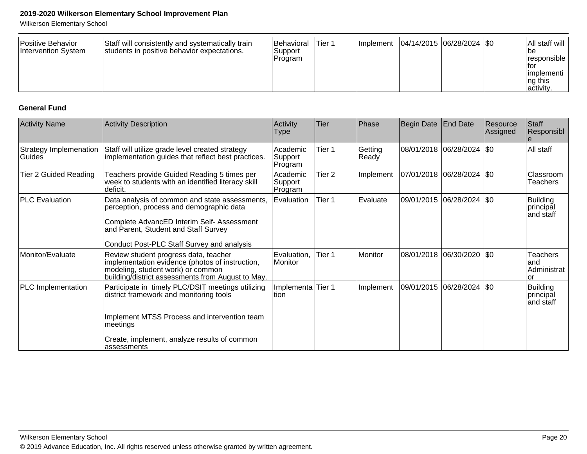Wilkerson Elementary School

| Positive Behavior<br>Intervention System | Staff will consistently and systematically train<br>students in positive behavior expectations. | <b>Behavioral</b><br>Support<br>Program | 'Tier 1 | Implement   04/14/2015   06/28/2024   \$0 |  |  |  | All staff will<br>lbe<br><i>I</i> responsible<br>ltor<br>limplementi<br> ng this<br>Tactivity. |
|------------------------------------------|-------------------------------------------------------------------------------------------------|-----------------------------------------|---------|-------------------------------------------|--|--|--|------------------------------------------------------------------------------------------------|
|------------------------------------------|-------------------------------------------------------------------------------------------------|-----------------------------------------|---------|-------------------------------------------|--|--|--|------------------------------------------------------------------------------------------------|

#### **General Fund**

| <b>Activity Name</b>                          | <b>Activity Description</b>                                                                                                                                                                                                    | Activity<br>Type               | <b>Tier</b> | Phase            | Begin Date                 | <b>End Date</b>             | Resource<br>Assigned | <b>Staff</b><br>Responsibl                |
|-----------------------------------------------|--------------------------------------------------------------------------------------------------------------------------------------------------------------------------------------------------------------------------------|--------------------------------|-------------|------------------|----------------------------|-----------------------------|----------------------|-------------------------------------------|
| Strategy Implemenation<br>Guides <sup>®</sup> | Staff will utilize grade level created strategy<br>implementation guides that reflect best practices.                                                                                                                          | Academic<br>Support<br>Program | Tier 1      | Getting<br>Ready |                            | 08/01/2018  06/28/2024  \$0 |                      | All staff                                 |
| Tier 2 Guided Reading                         | Teachers provide Guided Reading 5 times per<br>week to students with an identified literacy skill<br>deficit.                                                                                                                  | Academic<br>Support<br>Program | Tier 2      | Implement        | 07/01/2018 06/28/2024 \\$0 |                             |                      | Classroom<br>Teachers                     |
| <b>PLC Evaluation</b>                         | Data analysis of common and state assessments,<br>perception, process and demographic data<br>Complete AdvancED Interim Self- Assessment<br>and Parent, Student and Staff Survey<br>Conduct Post-PLC Staff Survey and analysis | Evaluation                     | Tier 1      | Evaluate         |                            | 09/01/2015 06/28/2024   \$0 |                      | <b>Building</b><br>principal<br>and staff |
| Monitor/Evaluate                              | Review student progress data, teacher<br>implementation evidence (photos of instruction,<br>modeling, student work) or common<br>building/district assessments from August to May.                                             | Evaluation.<br>l Monitor       | Tier 1      | Monitor          | 08/01/2018                 | 06/30/2020                  | \$0                  | Teachers<br>and<br>Administrat<br>or      |
| PLC Implementation                            | Participate in timely PLC/DSIT meetings utilizing<br>district framework and monitoring tools                                                                                                                                   | Implementa Tier 1<br>tion      |             | Implement        |                            | 09/01/2015 06/28/2024   \$0 |                      | <b>Building</b><br>principal<br>and staff |
|                                               | Implement MTSS Process and intervention team<br>meetings<br>Create, implement, analyze results of common<br>assessments                                                                                                        |                                |             |                  |                            |                             |                      |                                           |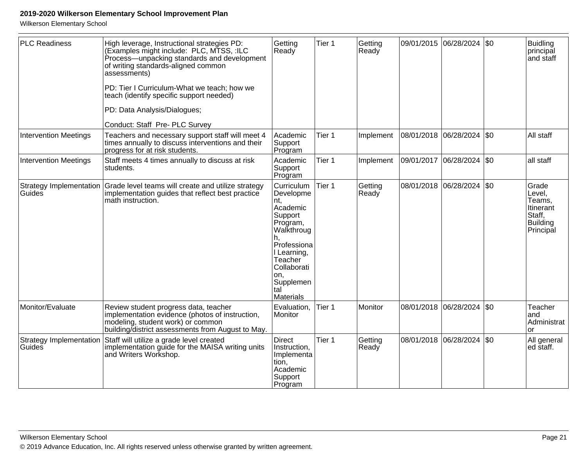| <b>PLC Readiness</b>                     | High leverage, Instructional strategies PD:<br>(Examples might include: PLC, MTSS, :ILC<br>Process-unpacking standards and development<br>of writing standards-aligned common<br>assessments)<br>PD: Tier I Curriculum-What we teach; how we<br>teach (identify specific support needed)<br>PD: Data Analysis/Dialogues;<br>Conduct: Staff Pre- PLC Survey | Getting<br>Ready                                                                                                                                                                     | Tier 1 | Getting<br>Ready |                       | 09/01/2015 06/28/2024 \$0   |           | <b>Buidling</b><br>principal<br>and staff                                               |
|------------------------------------------|------------------------------------------------------------------------------------------------------------------------------------------------------------------------------------------------------------------------------------------------------------------------------------------------------------------------------------------------------------|--------------------------------------------------------------------------------------------------------------------------------------------------------------------------------------|--------|------------------|-----------------------|-----------------------------|-----------|-----------------------------------------------------------------------------------------|
| <b>Intervention Meetings</b>             | Teachers and necessary support staff will meet 4<br>times annually to discuss interventions and their<br>progress for at risk students.                                                                                                                                                                                                                    | Academic<br>Support<br>Program                                                                                                                                                       | Tier 1 | Implement        | 08/01/2018 06/28/2024 |                             | <b>SO</b> | All staff                                                                               |
| <b>Intervention Meetings</b>             | Staff meets 4 times annually to discuss at risk<br>students.                                                                                                                                                                                                                                                                                               | Academic<br>Support<br>Program                                                                                                                                                       | Tier 1 | Implement        | 09/01/2017            | 06/28/2024                  | \$0       | all staff                                                                               |
| <b>Strategy Implementation</b><br>Guides | Grade level teams will create and utilize strategy<br>implementation guides that reflect best practice<br>math instruction.                                                                                                                                                                                                                                | Curriculum<br>Developme<br>nt,<br>Academic<br>Support<br>Program,<br>Walkthroug<br>Professiona<br>Learning,<br>Teacher<br>Collaborati<br>on,<br>Supplemen<br>tal<br><b>Materials</b> | Tier 1 | Getting<br>Ready |                       | 08/01/2018 06/28/2024   \$0 |           | Grade<br>Level,<br>Teams,<br><b>Itinerant</b><br>Staff,<br><b>Building</b><br>Principal |
| Monitor/Evaluate                         | Review student progress data, teacher<br>implementation evidence (photos of instruction,<br>modeling, student work) or common<br>building/district assessments from August to May.                                                                                                                                                                         | Evaluation,<br>Monitor                                                                                                                                                               | Tier 1 | Monitor          | 08/01/2018 06/28/2024 |                             | \$0       | Teacher<br>and<br>Administrat<br>or                                                     |
| <b>Strategy Implementation</b><br>Guides | Staff will utilize a grade level created<br>implementation guide for the MAISA writing units<br>and Writers Workshop.                                                                                                                                                                                                                                      | Direct<br>Instruction,<br>Implementa<br>tion,<br>Academic<br>Support<br>Program                                                                                                      | Tier 1 | Getting<br>Ready | 08/01/2018 06/28/2024 |                             | l\$0      | All general<br>ed staff.                                                                |